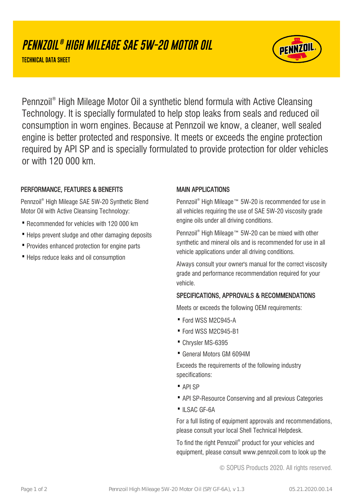# **PENNZOIL ® HIGH MILEAGE SAE 5W-20 MOTOR OIL**

**TECHNICAL DATA SHEET**



Pennzoil® High Mileage Motor Oil a synthetic blend formula with Active Cleansing Technology. It is specially formulated to help stop leaks from seals and reduced oil consumption in worn engines. Because at Pennzoil we know, a cleaner, well sealed engine is better protected and responsive. It meets or exceeds the engine protection required by API SP and is specially formulated to provide protection for older vehicles or with 120 000 km.

## PERFORMANCE, FEATURES & BENEFITS

Pennzoil® High Mileage SAE 5W-20 Synthetic Blend Motor Oil with Active Cleansing Technology:

- · Recommended for vehicles with 120 000 km
- Helps prevent sludge and other damaging deposits
- · Provides enhanced protection for engine parts
- · Helps reduce leaks and oil consumption

#### MAIN APPLICATIONS

Pennzoil® High Mileage™ 5W-20 is recommended for use in all vehicles requiring the use of SAE 5W-20 viscosity grade engine oils under all driving conditions.

Pennzoil® High Mileage™ 5W-20 can be mixed with other synthetic and mineral oils and is recommended for use in all vehicle applications under all driving conditions.

Always consult your owner's manual for the correct viscosity grade and performance recommendation required for your vehicle.

## SPECIFICATIONS, APPROVALS & RECOMMENDATIONS

Meets or exceeds the following OEM requirements:

- · Ford WSS M2C945-A
- · Ford WSS M2C945-B1
- · Chrysler MS-6395
- · General Motors GM 6094M

Exceeds the requirements of the following industry specifications:

- · API SP
- · API SP-Resource Conserving and all previous Categories
- ·ILSAC GF-6A

For a full listing of equipment approvals and recommendations, please consult your local Shell Technical Helpdesk.

To find the right Pennzoil® product for your vehicles and equipment, please consult www.pennzoil.com to look up the

© SOPUS Products 2020. All rights reserved.